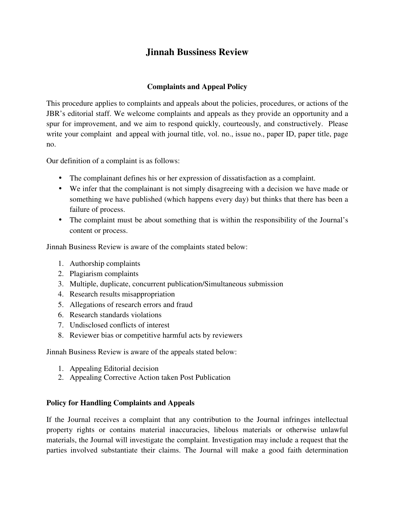# **Jinnah Bussiness Review**

# **Complaints and Appeal Policy**

This procedure applies to complaints and appeals about the policies, procedures, or actions of the JBR's editorial staff. We welcome complaints and appeals as they provide an opportunity and a spur for improvement, and we aim to respond quickly, courteously, and constructively. Please write your complaint and appeal with journal title, vol. no., issue no., paper ID, paper title, page no.

Our definition of a complaint is as follows:

- The complainant defines his or her expression of dissatisfaction as a complaint.
- We infer that the complainant is not simply disagreeing with a decision we have made or something we have published (which happens every day) but thinks that there has been a failure of process.
- The complaint must be about something that is within the responsibility of the Journal's content or process.

Jinnah Business Review is aware of the complaints stated below:

- 1. Authorship complaints
- 2. Plagiarism complaints
- 3. Multiple, duplicate, concurrent publication/Simultaneous submission
- 4. Research results misappropriation
- 5. Allegations of research errors and fraud
- 6. Research standards violations
- 7. Undisclosed conflicts of interest
- 8. Reviewer bias or competitive harmful acts by reviewers

Jinnah Business Review is aware of the appeals stated below:

- 1. Appealing Editorial decision
- 2. Appealing Corrective Action taken Post Publication

## **Policy for Handling Complaints and Appeals**

If the Journal receives a complaint that any contribution to the Journal infringes intellectual property rights or contains material inaccuracies, libelous materials or otherwise unlawful materials, the Journal will investigate the complaint. Investigation may include a request that the parties involved substantiate their claims. The Journal will make a good faith determination